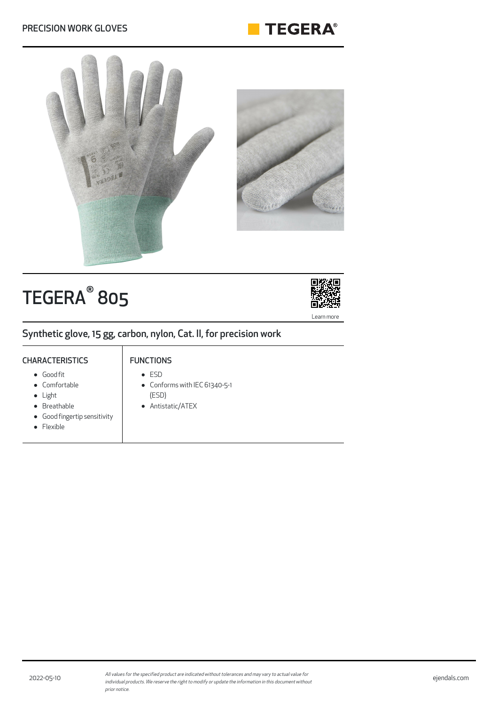



# TEGERA<sup>®</sup> 805



Synthetic glove, 15 gg, carbon, nylon, Cat. II, for precision work

#### **CHARACTERISTICS**

### FUNCTIONS

Good fit

#### • Comfortable

- Light
- Breathable
- Good fingertip sensitivity
- Flexible
- ESD
- Conforms with IEC 61340-5-1 (ESD)
- Antistatic/ATEX